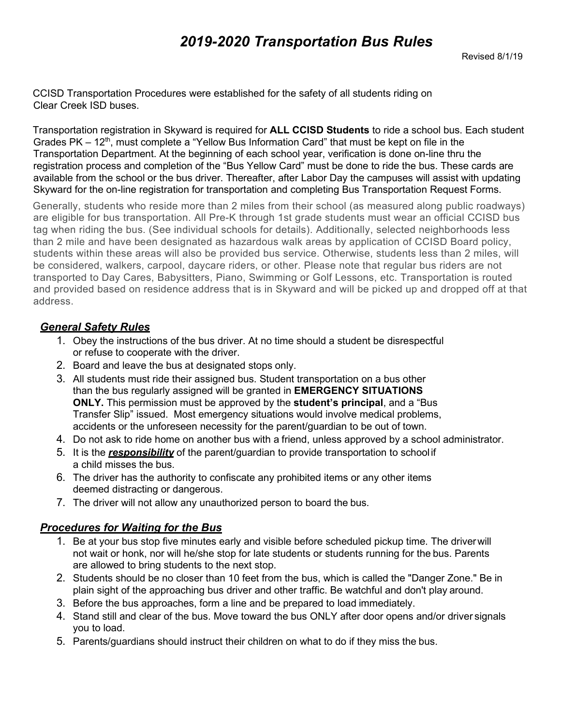CCISD Transportation Procedures were established for the safety of all students riding on Clear Creek ISD buses.

Transportation registration in Skyward is required for **ALL CCISD Students** to ride a school bus. Each student Grades PK  $-12<sup>th</sup>$ , must complete a "Yellow Bus Information Card" that must be kept on file in the Transportation Department. At the beginning of each school year, verification is done on-line thru the registration process and completion of the "Bus Yellow Card" must be done to ride the bus. These cards are available from the school or the bus driver. Thereafter, after Labor Day the campuses will assist with updating Skyward for the on-line registration for transportation and completing Bus Transportation Request Forms.

Generally, students who reside more than 2 miles from their school (as measured along public roadways) are eligible for bus transportation. All Pre-K through 1st grade students must wear an official CCISD bus tag when riding the bus. (See individual schools for details). Additionally, selected neighborhoods less than 2 mile and have been designated as hazardous walk areas by application of CCISD Board policy, students within these areas will also be provided bus service. Otherwise, students less than 2 miles, will be considered, walkers, carpool, daycare riders, or other. Please note that regular bus riders are not transported to Day Cares, Babysitters, Piano, Swimming or Golf Lessons, etc. Transportation is routed and provided based on residence address that is in Skyward and will be picked up and dropped off at that address.

# *General Safety Rules*

- 1. Obey the instructions of the bus driver. At no time should a student be disrespectful or refuse to cooperate with the driver.
- 2. Board and leave the bus at designated stops only.
- 3. All students must ride their assigned bus. Student transportation on a bus other than the bus regularly assigned will be granted in **EMERGENCY SITUATIONS ONLY.** This permission must be approved by the **student's principal**, and a "Bus Transfer Slip" issued. Most emergency situations would involve medical problems, accidents or the unforeseen necessity for the parent/guardian to be out of town.
- 4. Do not ask to ride home on another bus with a friend, unless approved by a school administrator.
- 5. It is the *responsibility* of the parent/guardian to provide transportation to school if a child misses the bus.
- 6. The driver has the authority to confiscate any prohibited items or any other items deemed distracting or dangerous.
- 7. The driver will not allow any unauthorized person to board the bus.

# *Procedures for Waiting for the Bus*

- 1. Be at your bus stop five minutes early and visible before scheduled pickup time. The driverwill not wait or honk, nor will he/she stop for late students or students running for the bus. Parents are allowed to bring students to the next stop.
- 2. Students should be no closer than 10 feet from the bus, which is called the "Danger Zone." Be in plain sight of the approaching bus driver and other traffic. Be watchful and don't play around.
- 3. Before the bus approaches, form a line and be prepared to load immediately.
- 4. Stand still and clear of the bus. Move toward the bus ONLY after door opens and/or driver signals you to load.
- 5. Parents/guardians should instruct their children on what to do if they miss the bus.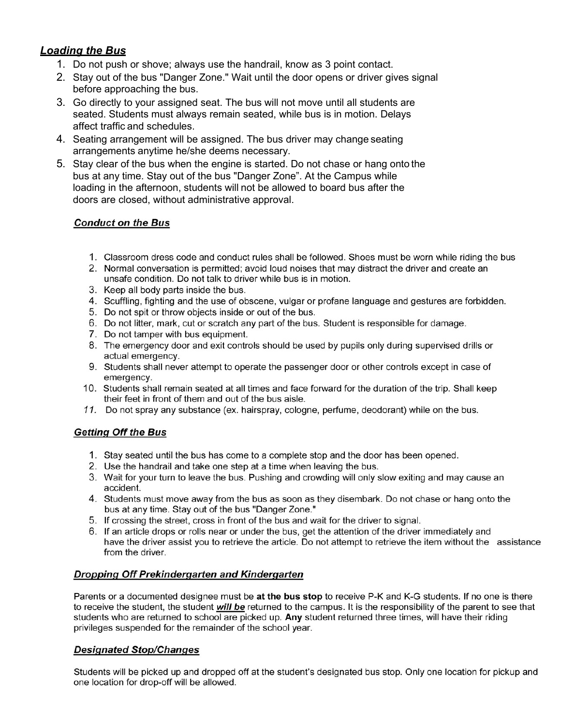# **Loading the Bus**

- 1. Do not push or shove; always use the handrail, know as 3 point contact.
- 2. Stay out of the bus "Danger Zone." Wait until the door opens or driver gives signal before approaching the bus.
- 3. Go directly to your assigned seat. The bus will not move until all students are seated. Students must always remain seated, while bus is in motion. Delays affect traffic and schedules.
- 4. Seating arrangement will be assigned. The bus driver may change seating arrangements anytime he/she deems necessary.
- 5. Stay clear of the bus when the engine is started. Do not chase or hang onto the bus at any time. Stay out of the bus "Danger Zone". At the Campus while loading in the afternoon, students will not be allowed to board bus after the doors are closed, without administrative approval.

#### **Conduct on the Bus**

- 1. Classroom dress code and conduct rules shall be followed. Shoes must be worn while riding the bus
- 2. Normal conversation is permitted; avoid loud noises that may distract the driver and create an unsafe condition. Do not talk to driver while bus is in motion.
- 3. Keep all body parts inside the bus.
- 4. Scuffling, fighting and the use of obscene, vulgar or profane language and gestures are forbidden.
- 5. Do not spit or throw objects inside or out of the bus.
- 6. Do not litter, mark, cut or scratch any part of the bus. Student is responsible for damage.
- 7. Do not tamper with bus equipment.
- 8. The emergency door and exit controls should be used by pupils only during supervised drills or actual emergency.
- 9. Students shall never attempt to operate the passenger door or other controls except in case of emergency.
- 10. Students shall remain seated at all times and face forward for the duration of the trip. Shall keep their feet in front of them and out of the bus aisle.
- 11. Do not spray any substance (ex. hairspray, cologne, perfume, deodorant) while on the bus.

#### **Getting Off the Bus**

- 1. Stay seated until the bus has come to a complete stop and the door has been opened.
- 2. Use the handrail and take one step at a time when leaving the bus.
- 3. Wait for your turn to leave the bus. Pushing and crowding will only slow exiting and may cause an accident.
- 4. Students must move away from the bus as soon as they disembark. Do not chase or hang onto the bus at any time. Stay out of the bus "Danger Zone."
- 5. If crossing the street, cross in front of the bus and wait for the driver to signal.
- 6. If an article drops or rolls near or under the bus, get the attention of the driver immediately and have the driver assist you to retrieve the article. Do not attempt to retrieve the item without the assistance from the driver.

#### **Dropping Off Prekindergarten and Kindergarten**

Parents or a documented designee must be at the bus stop to receive P-K and K-G students. If no one is there to receive the student, the student will be returned to the campus. It is the responsibility of the parent to see that students who are returned to school are picked up. Any student returned three times, will have their riding privileges suspended for the remainder of the school year.

#### **Designated Stop/Changes**

Students will be picked up and dropped off at the student's designated bus stop. Only one location for pickup and one location for drop-off will be allowed.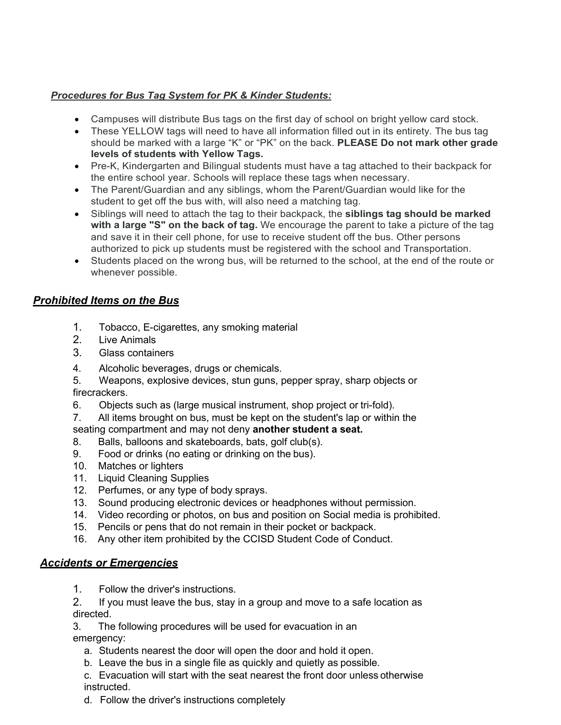### *Procedures for Bus Tag System for PK & Kinder Students:*

- Campuses will distribute Bus tags on the first day of school on bright yellow card stock.
- These YELLOW tags will need to have all information filled out in its entirety. The bus tag should be marked with a large "K" or "PK" on the back. **PLEASE Do not mark other grade levels of students with Yellow Tags.**
- Pre-K, Kindergarten and Bilingual students must have a tag attached to their backpack for the entire school year. Schools will replace these tags when necessary.
- The Parent/Guardian and any siblings, whom the Parent/Guardian would like for the student to get off the bus with, will also need a matching tag.
- Siblings will need to attach the tag to their backpack, the **siblings tag should be marked with a large "S" on the back of tag.** We encourage the parent to take a picture of the tag and save it in their cell phone, for use to receive student off the bus. Other persons authorized to pick up students must be registered with the school and Transportation.
- Students placed on the wrong bus, will be returned to the school, at the end of the route or whenever possible.

### *Prohibited Items on the Bus*

- 1. Tobacco, E-cigarettes, any smoking material
- 2. Live Animals
- 3. Glass containers
- 4. Alcoholic beverages, drugs or chemicals.
- 5. Weapons, explosive devices, stun guns, pepper spray, sharp objects or firecrackers.
- 6. Objects such as (large musical instrument, shop project or tri-fold).
- 7. All items brought on bus, must be kept on the student's lap or within the seating compartment and may not deny **another student a seat.**
- 8. Balls, balloons and skateboards, bats, golf club(s).
- 9. Food or drinks (no eating or drinking on the bus).
- 10. Matches or lighters
- 11. Liquid Cleaning Supplies
- 12. Perfumes, or any type of body sprays.
- 13. Sound producing electronic devices or headphones without permission.
- 14. Video recording or photos, on bus and position on Social media is prohibited.
- 15. Pencils or pens that do not remain in their pocket or backpack.
- 16. Any other item prohibited by the CCISD Student Code of Conduct.

#### *Accidents or Emergencies*

- 1. Follow the driver's instructions.
- 2. If you must leave the bus, stay in a group and move to a safe location as directed.
- 3. The following procedures will be used for evacuation in an emergency:
	- a. Students nearest the door will open the door and hold it open.
	- b. Leave the bus in a single file as quickly and quietly as possible.
	- c. Evacuation will start with the seat nearest the front door unless otherwise instructed.
	- d. Follow the driver's instructions completely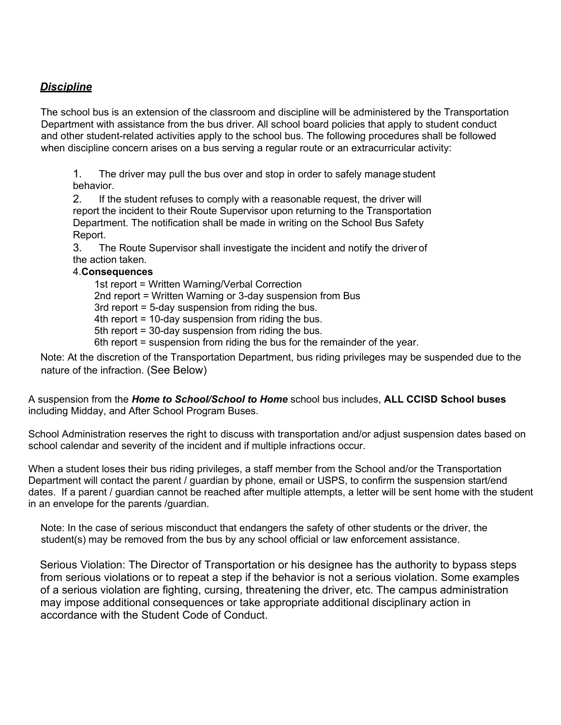## *Discipline*

The school bus is an extension of the classroom and discipline will be administered by the Transportation Department with assistance from the bus driver. All school board policies that apply to student conduct and other student-related activities apply to the school bus. The following procedures shall be followed when discipline concern arises on a bus serving a regular route or an extracurricular activity:

1. The driver may pull the bus over and stop in order to safely manage student behavior.

2. If the student refuses to comply with a reasonable request, the driver will report the incident to their Route Supervisor upon returning to the Transportation Department. The notification shall be made in writing on the School Bus Safety Report.

3. The Route Supervisor shall investigate the incident and notify the driver of the action taken.

#### 4.**Consequences**

 1st report = Written Warning/Verbal Correction 2nd report = Written Warning or 3-day suspension from Bus 3rd report = 5-day suspension from riding the bus. 4th report = 10-day suspension from riding the bus. 5th report = 30-day suspension from riding the bus. 6th report = suspension from riding the bus for the remainder of the year.

Note: At the discretion of the Transportation Department, bus riding privileges may be suspended due to the nature of the infraction. (See Below)

A suspension from the *Home to School/School to Home* school bus includes, **ALL CCISD School buses** including Midday, and After School Program Buses.

School Administration reserves the right to discuss with transportation and/or adjust suspension dates based on school calendar and severity of the incident and if multiple infractions occur.

When a student loses their bus riding privileges, a staff member from the School and/or the Transportation Department will contact the parent / guardian by phone, email or USPS, to confirm the suspension start/end dates. If a parent / guardian cannot be reached after multiple attempts, a letter will be sent home with the student in an envelope for the parents /guardian.

Note: In the case of serious misconduct that endangers the safety of other students or the driver, the student(s) may be removed from the bus by any school official or law enforcement assistance.

Serious Violation: The Director of Transportation or his designee has the authority to bypass steps from serious violations or to repeat a step if the behavior is not a serious violation. Some examples of a serious violation are fighting, cursing, threatening the driver, etc. The campus administration may impose additional consequences or take appropriate additional disciplinary action in accordance with the Student Code of Conduct.